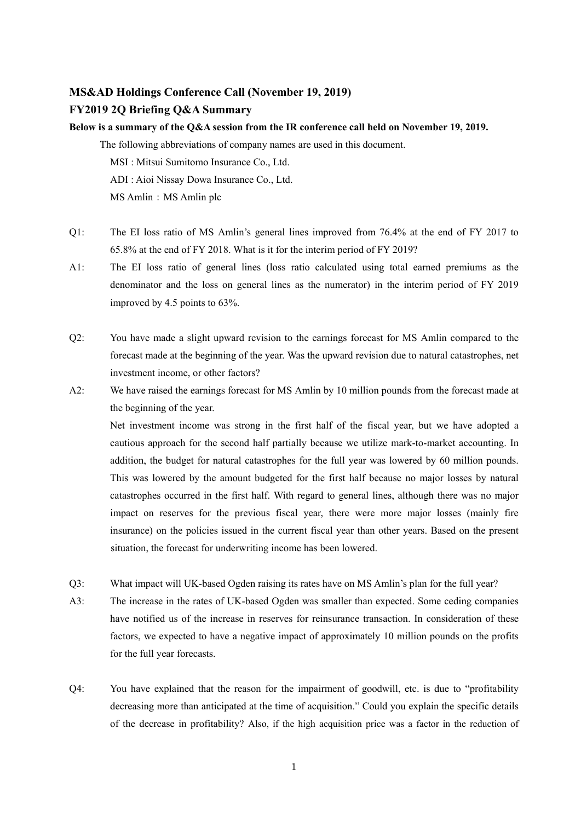## **MS&AD Holdings Conference Call (November 19, 2019)**

## **FY2019 2Q Briefing Q&A Summary**

**Below is a summary of the Q&A session from the IR conference call held on November 19, 2019.** 

The following abbreviations of company names are used in this document.

MSI : Mitsui Sumitomo Insurance Co., Ltd.

ADI : Aioi Nissay Dowa Insurance Co., Ltd.

MS Amlin: MS Amlin plc

- Q1: The EI loss ratio of MS Amlin's general lines improved from 76.4% at the end of FY 2017 to 65.8% at the end of FY 2018. What is it for the interim period of FY 2019?
- A1: The EI loss ratio of general lines (loss ratio calculated using total earned premiums as the denominator and the loss on general lines as the numerator) in the interim period of FY 2019 improved by 4.5 points to 63%.
- Q2: You have made a slight upward revision to the earnings forecast for MS Amlin compared to the forecast made at the beginning of the year. Was the upward revision due to natural catastrophes, net investment income, or other factors?
- A2: We have raised the earnings forecast for MS Amlin by 10 million pounds from the forecast made at the beginning of the year.

Net investment income was strong in the first half of the fiscal year, but we have adopted a cautious approach for the second half partially because we utilize mark-to-market accounting. In addition, the budget for natural catastrophes for the full year was lowered by 60 million pounds. This was lowered by the amount budgeted for the first half because no major losses by natural catastrophes occurred in the first half. With regard to general lines, although there was no major impact on reserves for the previous fiscal year, there were more major losses (mainly fire insurance) on the policies issued in the current fiscal year than other years. Based on the present situation, the forecast for underwriting income has been lowered.

- Q3: What impact will UK-based Ogden raising its rates have on MS Amlin's plan for the full year?
- A3: The increase in the rates of UK-based Ogden was smaller than expected. Some ceding companies have notified us of the increase in reserves for reinsurance transaction. In consideration of these factors, we expected to have a negative impact of approximately 10 million pounds on the profits for the full year forecasts.
- Q4: You have explained that the reason for the impairment of goodwill, etc. is due to "profitability decreasing more than anticipated at the time of acquisition." Could you explain the specific details of the decrease in profitability? Also, if the high acquisition price was a factor in the reduction of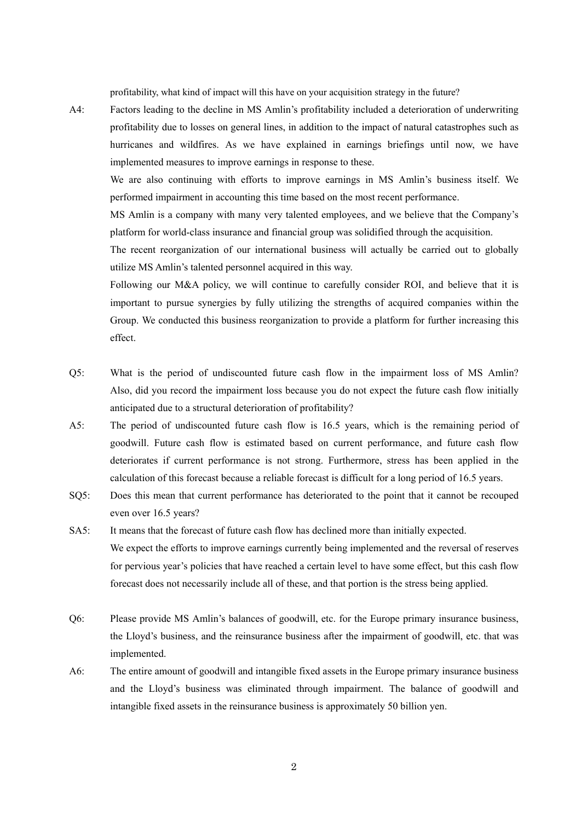profitability, what kind of impact will this have on your acquisition strategy in the future?

A4: Factors leading to the decline in MS Amlin's profitability included a deterioration of underwriting profitability due to losses on general lines, in addition to the impact of natural catastrophes such as hurricanes and wildfires. As we have explained in earnings briefings until now, we have implemented measures to improve earnings in response to these.

 We are also continuing with efforts to improve earnings in MS Amlin's business itself. We performed impairment in accounting this time based on the most recent performance.

MS Amlin is a company with many very talented employees, and we believe that the Company's platform for world-class insurance and financial group was solidified through the acquisition.

The recent reorganization of our international business will actually be carried out to globally utilize MS Amlin's talented personnel acquired in this way.

Following our M&A policy, we will continue to carefully consider ROI, and believe that it is important to pursue synergies by fully utilizing the strengths of acquired companies within the Group. We conducted this business reorganization to provide a platform for further increasing this effect.

- Q5: What is the period of undiscounted future cash flow in the impairment loss of MS Amlin? Also, did you record the impairment loss because you do not expect the future cash flow initially anticipated due to a structural deterioration of profitability?
- A5: The period of undiscounted future cash flow is 16.5 years, which is the remaining period of goodwill. Future cash flow is estimated based on current performance, and future cash flow deteriorates if current performance is not strong. Furthermore, stress has been applied in the calculation of this forecast because a reliable forecast is difficult for a long period of 16.5 years.
- SQ5: Does this mean that current performance has deteriorated to the point that it cannot be recouped even over 16.5 years?
- SA5: It means that the forecast of future cash flow has declined more than initially expected. We expect the efforts to improve earnings currently being implemented and the reversal of reserves for pervious year's policies that have reached a certain level to have some effect, but this cash flow forecast does not necessarily include all of these, and that portion is the stress being applied.
- Q6: Please provide MS Amlin's balances of goodwill, etc. for the Europe primary insurance business, the Lloyd's business, and the reinsurance business after the impairment of goodwill, etc. that was implemented.
- A6: The entire amount of goodwill and intangible fixed assets in the Europe primary insurance business and the Lloyd's business was eliminated through impairment. The balance of goodwill and intangible fixed assets in the reinsurance business is approximately 50 billion yen.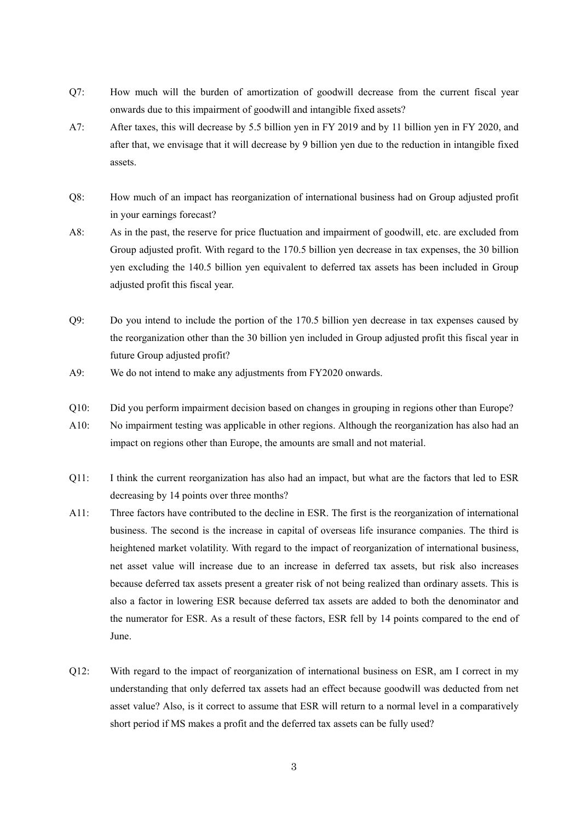- Q7: How much will the burden of amortization of goodwill decrease from the current fiscal year onwards due to this impairment of goodwill and intangible fixed assets?
- A7: After taxes, this will decrease by 5.5 billion yen in FY 2019 and by 11 billion yen in FY 2020, and after that, we envisage that it will decrease by 9 billion yen due to the reduction in intangible fixed assets.
- Q8: How much of an impact has reorganization of international business had on Group adjusted profit in your earnings forecast?
- A8: As in the past, the reserve for price fluctuation and impairment of goodwill, etc. are excluded from Group adjusted profit. With regard to the 170.5 billion yen decrease in tax expenses, the 30 billion yen excluding the 140.5 billion yen equivalent to deferred tax assets has been included in Group adjusted profit this fiscal year.
- Q9: Do you intend to include the portion of the 170.5 billion yen decrease in tax expenses caused by the reorganization other than the 30 billion yen included in Group adjusted profit this fiscal year in future Group adjusted profit?
- A9: We do not intend to make any adjustments from FY2020 onwards.
- Q10: Did you perform impairment decision based on changes in grouping in regions other than Europe?
- A10: No impairment testing was applicable in other regions. Although the reorganization has also had an impact on regions other than Europe, the amounts are small and not material.
- Q11: I think the current reorganization has also had an impact, but what are the factors that led to ESR decreasing by 14 points over three months?
- A11: Three factors have contributed to the decline in ESR. The first is the reorganization of international business. The second is the increase in capital of overseas life insurance companies. The third is heightened market volatility. With regard to the impact of reorganization of international business, net asset value will increase due to an increase in deferred tax assets, but risk also increases because deferred tax assets present a greater risk of not being realized than ordinary assets. This is also a factor in lowering ESR because deferred tax assets are added to both the denominator and the numerator for ESR. As a result of these factors, ESR fell by 14 points compared to the end of June.
- Q12: With regard to the impact of reorganization of international business on ESR, am I correct in my understanding that only deferred tax assets had an effect because goodwill was deducted from net asset value? Also, is it correct to assume that ESR will return to a normal level in a comparatively short period if MS makes a profit and the deferred tax assets can be fully used?